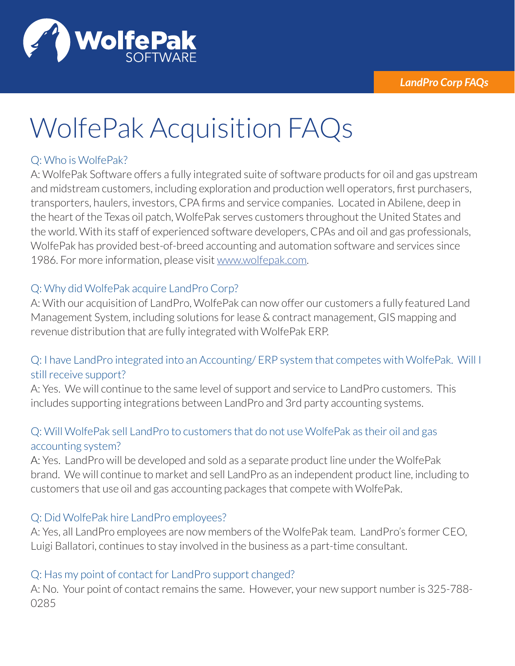

# WolfePak Acquisition FAQs

## Q: Who is WolfePak?

A: WolfePak Software offers a fully integrated suite of software products for oil and gas upstream and midstream customers, including exploration and production well operators, first purchasers, transporters, haulers, investors, CPA firms and service companies. Located in Abilene, deep in the heart of the Texas oil patch, WolfePak serves customers throughout the United States and the world. With its staff of experienced software developers, CPAs and oil and gas professionals, WolfePak has provided best-of-breed accounting and automation software and services since 1986. For more information, please visit www.wolfepak.com.

## Q: Why did WolfePak acquire LandPro Corp?

A: With our acquisition of LandPro, WolfePak can now offer our customers a fully featured Land Management System, including solutions for lease & contract management, GIS mapping and revenue distribution that are fully integrated with WolfePak ERP.

## Q: I have LandPro integrated into an Accounting/ ERP system that competes with WolfePak. Will I still receive support?

A: Yes. We will continue to the same level of support and service to LandPro customers. This includes supporting integrations between LandPro and 3rd party accounting systems.

## Q: Will WolfePak sell LandPro to customers that do not use WolfePak as their oil and gas accounting system?

A: Yes. LandPro will be developed and sold as a separate product line under the WolfePak brand. We will continue to market and sell LandPro as an independent product line, including to customers that use oil and gas accounting packages that compete with WolfePak.

### Q: Did WolfePak hire LandPro employees?

A: Yes, all LandPro employees are now members of the WolfePak team. LandPro's former CEO, Luigi Ballatori, continues to stay involved in the business as a part-time consultant.

### Q: Has my point of contact for LandPro support changed?

A: No. Your point of contact remains the same. However, your new support number is 325-788- 0285